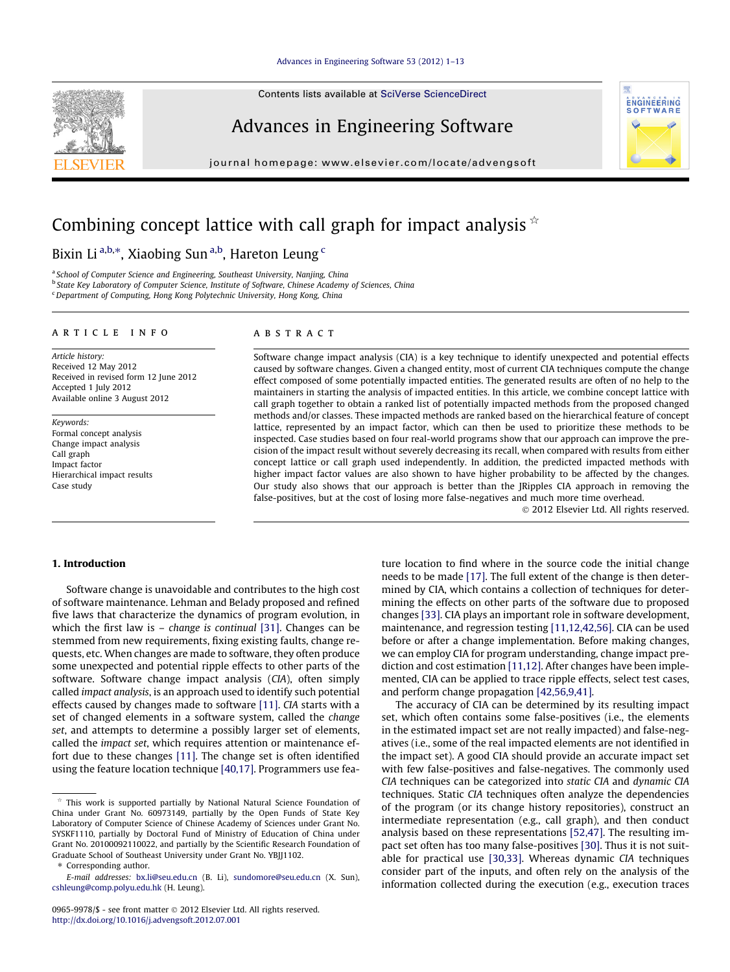#### [Advances in Engineering Software 53 \(2012\) 1–13](http://dx.doi.org/10.1016/j.advengsoft.2012.07.001)

Contents lists available at [SciVerse ScienceDirect](http://www.sciencedirect.com/science/journal/09659978)

## Advances in Engineering Software

journal homepage: [www.elsevier.com/locate/advengsoft](http://www.elsevier.com/locate/advengsoft)



# Combining concept lattice with call graph for impact analysis  $\dot{\phi}$

### Bixin Li <sup>a,b,</sup>\*, Xiaobing Sun <sup>a,b</sup>, Hareton Leung <sup>c</sup>

<sup>a</sup> School of Computer Science and Engineering, Southeast University, Nanjing, China <sup>b</sup> State Key Laboratory of Computer Science, Institute of Software, Chinese Academy of Sciences, China <sup>c</sup> Department of Computing, Hong Kong Polytechnic University, Hong Kong, China

#### article info

Article history: Received 12 May 2012 Received in revised form 12 June 2012 Accepted 1 July 2012 Available online 3 August 2012

Keywords: Formal concept analysis Change impact analysis Call graph Impact factor Hierarchical impact results Case study

#### ABSTRACT

Software change impact analysis (CIA) is a key technique to identify unexpected and potential effects caused by software changes. Given a changed entity, most of current CIA techniques compute the change effect composed of some potentially impacted entities. The generated results are often of no help to the maintainers in starting the analysis of impacted entities. In this article, we combine concept lattice with call graph together to obtain a ranked list of potentially impacted methods from the proposed changed methods and/or classes. These impacted methods are ranked based on the hierarchical feature of concept lattice, represented by an impact factor, which can then be used to prioritize these methods to be inspected. Case studies based on four real-world programs show that our approach can improve the precision of the impact result without severely decreasing its recall, when compared with results from either concept lattice or call graph used independently. In addition, the predicted impacted methods with higher impact factor values are also shown to have higher probability to be affected by the changes. Our study also shows that our approach is better than the JRipples CIA approach in removing the false-positives, but at the cost of losing more false-negatives and much more time overhead.

- 2012 Elsevier Ltd. All rights reserved.

#### 1. Introduction

Software change is unavoidable and contributes to the high cost of software maintenance. Lehman and Belady proposed and refined five laws that characterize the dynamics of program evolution, in which the first law is - change is continual [\[31\]](#page--1-0). Changes can be stemmed from new requirements, fixing existing faults, change requests, etc. When changes are made to software, they often produce some unexpected and potential ripple effects to other parts of the software. Software change impact analysis (CIA), often simply called impact analysis, is an approach used to identify such potential effects caused by changes made to software [\[11\].](#page--1-0) CIA starts with a set of changed elements in a software system, called the *change* set, and attempts to determine a possibly larger set of elements, called the impact set, which requires attention or maintenance effort due to these changes [\[11\].](#page--1-0) The change set is often identified using the feature location technique [\[40,17\]](#page--1-0). Programmers use fea-

Corresponding author.

ture location to find where in the source code the initial change needs to be made [\[17\]](#page--1-0). The full extent of the change is then determined by CIA, which contains a collection of techniques for determining the effects on other parts of the software due to proposed changes [\[33\]](#page--1-0). CIA plays an important role in software development, maintenance, and regression testing [\[11,12,42,56\]](#page--1-0). CIA can be used before or after a change implementation. Before making changes, we can employ CIA for program understanding, change impact prediction and cost estimation [\[11,12\].](#page--1-0) After changes have been implemented, CIA can be applied to trace ripple effects, select test cases, and perform change propagation [\[42,56,9,41\].](#page--1-0)

The accuracy of CIA can be determined by its resulting impact set, which often contains some false-positives (i.e., the elements in the estimated impact set are not really impacted) and false-negatives (i.e., some of the real impacted elements are not identified in the impact set). A good CIA should provide an accurate impact set with few false-positives and false-negatives. The commonly used CIA techniques can be categorized into static CIA and dynamic CIA techniques. Static CIA techniques often analyze the dependencies of the program (or its change history repositories), construct an intermediate representation (e.g., call graph), and then conduct analysis based on these representations [\[52,47\]](#page--1-0). The resulting impact set often has too many false-positives [\[30\].](#page--1-0) Thus it is not suitable for practical use [\[30,33\].](#page--1-0) Whereas dynamic CIA techniques consider part of the inputs, and often rely on the analysis of the information collected during the execution (e.g., execution traces

 $*$  This work is supported partially by National Natural Science Foundation of China under Grant No. 60973149, partially by the Open Funds of State Key Laboratory of Computer Science of Chinese Academy of Sciences under Grant No. SYSKF1110, partially by Doctoral Fund of Ministry of Education of China under Grant No. 20100092110022, and partially by the Scientific Research Foundation of Graduate School of Southeast University under Grant No. YBJJ1102.

E-mail addresses: [bx.li@seu.edu.cn](mailto:bx.li@seu.edu.cn) (B. Li), [sundomore@seu.edu.cn](mailto:sundomore@seu.edu.cn) (X. Sun), [cshleung@comp.polyu.edu.hk](mailto:cshleung@comp.polyu.edu.hk) (H. Leung).

<sup>0965-9978/\$ -</sup> see front matter © 2012 Elsevier Ltd. All rights reserved. <http://dx.doi.org/10.1016/j.advengsoft.2012.07.001>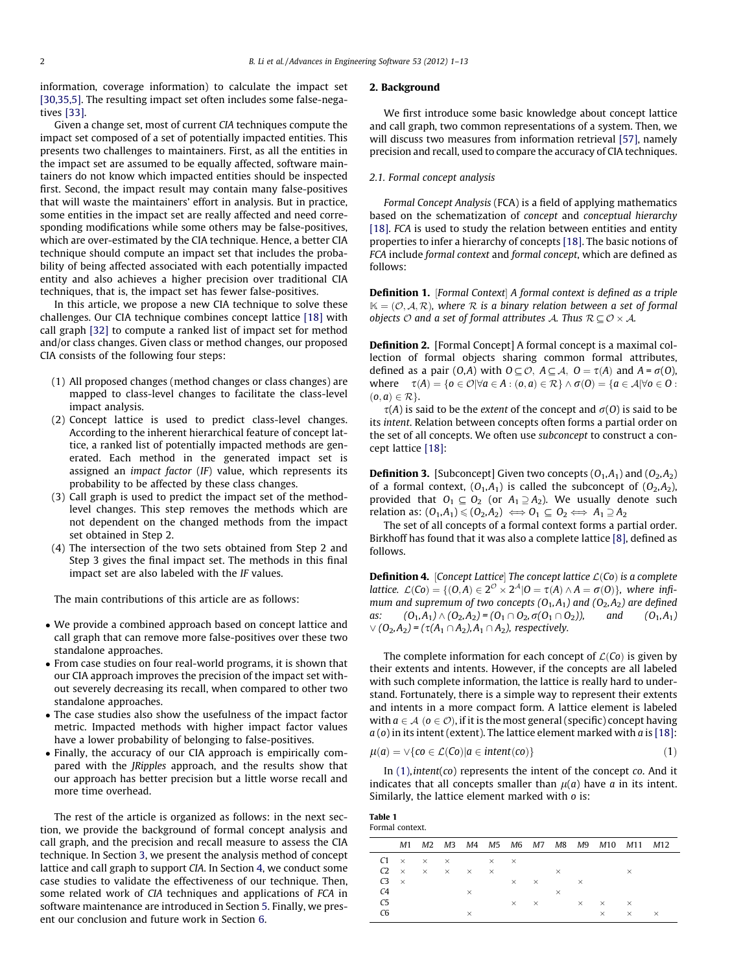information, coverage information) to calculate the impact set [\[30,35,5\]](#page--1-0). The resulting impact set often includes some false-negatives [\[33\].](#page--1-0)

Given a change set, most of current CIA techniques compute the impact set composed of a set of potentially impacted entities. This presents two challenges to maintainers. First, as all the entities in the impact set are assumed to be equally affected, software maintainers do not know which impacted entities should be inspected first. Second, the impact result may contain many false-positives that will waste the maintainers' effort in analysis. But in practice, some entities in the impact set are really affected and need corresponding modifications while some others may be false-positives, which are over-estimated by the CIA technique. Hence, a better CIA technique should compute an impact set that includes the probability of being affected associated with each potentially impacted entity and also achieves a higher precision over traditional CIA techniques, that is, the impact set has fewer false-positives.

In this article, we propose a new CIA technique to solve these challenges. Our CIA technique combines concept lattice [\[18\]](#page--1-0) with call graph [\[32\]](#page--1-0) to compute a ranked list of impact set for method and/or class changes. Given class or method changes, our proposed CIA consists of the following four steps:

- (1) All proposed changes (method changes or class changes) are mapped to class-level changes to facilitate the class-level impact analysis.
- (2) Concept lattice is used to predict class-level changes. According to the inherent hierarchical feature of concept lattice, a ranked list of potentially impacted methods are generated. Each method in the generated impact set is assigned an impact factor (IF) value, which represents its probability to be affected by these class changes.
- (3) Call graph is used to predict the impact set of the methodlevel changes. This step removes the methods which are not dependent on the changed methods from the impact set obtained in Step 2.
- (4) The intersection of the two sets obtained from Step 2 and Step 3 gives the final impact set. The methods in this final impact set are also labeled with the IF values.

The main contributions of this article are as follows:

- We provide a combined approach based on concept lattice and call graph that can remove more false-positives over these two standalone approaches.
- From case studies on four real-world programs, it is shown that our CIA approach improves the precision of the impact set without severely decreasing its recall, when compared to other two standalone approaches.
- The case studies also show the usefulness of the impact factor metric. Impacted methods with higher impact factor values have a lower probability of belonging to false-positives.
- Finally, the accuracy of our CIA approach is empirically compared with the JRipples approach, and the results show that our approach has better precision but a little worse recall and more time overhead.

The rest of the article is organized as follows: in the next section, we provide the background of formal concept analysis and call graph, and the precision and recall measure to assess the CIA technique. In Section [3](#page--1-0), we present the analysis method of concept lattice and call graph to support CIA. In Section [4](#page--1-0), we conduct some case studies to validate the effectiveness of our technique. Then, some related work of CIA techniques and applications of FCA in software maintenance are introduced in Section [5](#page--1-0). Finally, we present our conclusion and future work in Section [6.](#page--1-0)

#### 2. Background

We first introduce some basic knowledge about concept lattice and call graph, two common representations of a system. Then, we will discuss two measures from information retrieval [\[57\]](#page--1-0), namely precision and recall, used to compare the accuracy of CIA techniques.

#### 2.1. Formal concept analysis

Formal Concept Analysis (FCA) is a field of applying mathematics based on the schematization of concept and conceptual hierarchy [\[18\]](#page--1-0). FCA is used to study the relation between entities and entity properties to infer a hierarchy of concepts [\[18\].](#page--1-0) The basic notions of FCA include formal context and formal concept, which are defined as follows:

Definition 1. [Formal Context] A formal context is defined as a triple  $\mathbb{K} = (\mathcal{O}, \mathcal{A}, \mathcal{R})$ , where  $\mathcal R$  is a binary relation between a set of formal objects  $O$  and a set of formal attributes A. Thus  $R \subseteq O \times A$ .

Definition 2. [Formal Concept] A formal concept is a maximal collection of formal objects sharing common formal attributes, defined as a pair (O,A) with  $0 \subseteq \mathcal{O}$ ,  $A \subseteq \mathcal{A}$ ,  $0 = \tau(A)$  and  $A = \sigma(0)$ , where  $\tau(A) = \{o \in \mathcal{O} | \forall a \in A : (o, a) \in \mathcal{R}\}\wedge \sigma(O) = \{a \in \mathcal{A} | \forall o \in O :$  $(o,a) \in \mathcal{R}$ .

 $\tau(A)$  is said to be the *extent* of the concept and  $\sigma(0)$  is said to be its intent. Relation between concepts often forms a partial order on the set of all concepts. We often use subconcept to construct a concept lattice [\[18\]](#page--1-0):

**Definition 3.** [Subconcept] Given two concepts  $(O_1, A_1)$  and  $(O_2, A_2)$ of a formal context,  $(O_1, A_1)$  is called the subconcept of  $(O_2, A_2)$ , provided that  $O_1 \subseteq O_2$  (or  $A_1 \supseteq A_2$ ). We usually denote such relation as:  $(O_1, A_1) \leqslant (O_2, A_2) \iff O_1 \subseteq O_2 \iff A_1 \supseteq A_2$ 

The set of all concepts of a formal context forms a partial order. Birkhoff has found that it was also a complete lattice [\[8\],](#page--1-0) defined as follows.

**Definition 4.** [Concept Lattice] The concept lattice  $\mathcal{L}(C_0)$  is a complete lattice.  $\mathcal{L}(C_0) = \{ (O, A) \in 2^{\mathcal{O}} \times 2^{\mathcal{A}} | O = \tau(A) \wedge A = \sigma(O) \}$ , where infimum and supremum of two concepts  $(O_1, A_1)$  and  $(O_2, A_2)$  are defined as:  $(O_1, A_1) \wedge (O_2, A_2) = (O_1 \cap O_2, \sigma(O_1 \cap O_2)),$  and  $(O_1, A_1)$  $\vee$  (O<sub>2</sub>,A<sub>2</sub>) = ( $\tau$ (A<sub>1</sub>  $\cap$  A<sub>2</sub>), A<sub>1</sub>  $\cap$  A<sub>2</sub>), respectively.

The complete information for each concept of  $\mathcal{L}(Co)$  is given by their extents and intents. However, if the concepts are all labeled with such complete information, the lattice is really hard to understand. Fortunately, there is a simple way to represent their extents and intents in a more compact form. A lattice element is labeled with  $a \in \mathcal{A}$  ( $o \in \mathcal{O}$ ), if it is the most general (specific) concept having  $a$  (o) in its intent (extent). The lattice element marked with  $a$  is [\[18\]:](#page--1-0)

$$
\mu(a) = \vee \{ co \in \mathcal{L}(Co) | a \in intent(co) \}
$$
\n(1)

In  $(1)$ , intent $(co)$  represents the intent of the concept  $co$ . And it indicates that all concepts smaller than  $\mu(a)$  have a in its intent. Similarly, the lattice element marked with o is:

Table 1 Formal context.

|                | M1 |                                                       |          |                   |                   |          |          | M2 M3 M4 M5 M6 M7 M8 M9 M10 M11 M12 |          |          |
|----------------|----|-------------------------------------------------------|----------|-------------------|-------------------|----------|----------|-------------------------------------|----------|----------|
|                |    | $C1 \times \times \times \times \times \times \times$ |          |                   |                   |          |          |                                     |          |          |
|                |    | $C2 \times \times \times \times \times \times$        |          |                   |                   | $\times$ |          |                                     | $\times$ |          |
| $C3 \times$    |    |                                                       |          | $\times$ $\times$ |                   |          | $\times$ |                                     |          |          |
| C <sub>4</sub> |    |                                                       | $\times$ |                   |                   | $\times$ |          |                                     |          |          |
| C <sub>5</sub> |    |                                                       |          |                   | $\times$ $\times$ |          |          | $\times$ $\times$ $\times$          |          |          |
| С6             |    |                                                       |          |                   |                   |          |          | $\times$                            | $\times$ | $\times$ |